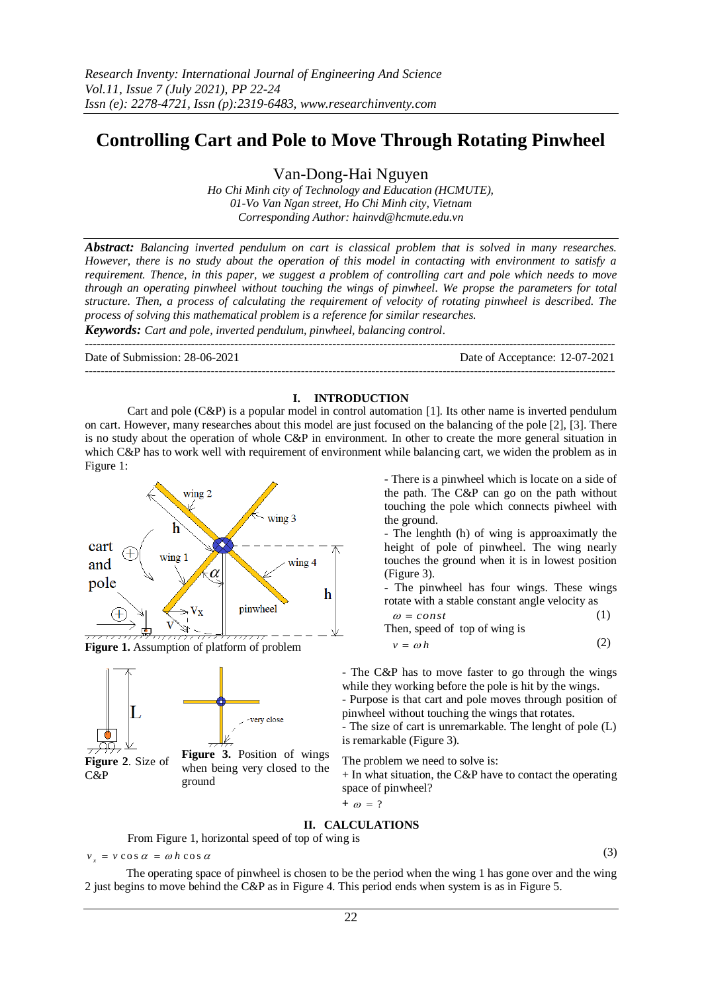# **Controlling Cart and Pole to Move Through Rotating Pinwheel**

Van-Dong-Hai Nguyen

*Ho Chi Minh city of Technology and Education (HCMUTE), 01-Vo Van Ngan street, Ho Chi Minh city, Vietnam Corresponding Author: hainvd@hcmute.edu.vn*

*Abstract: Balancing inverted pendulum on cart is classical problem that is solved in many researches. However, there is no study about the operation of this model in contacting with environment to satisfy a requirement. Thence, in this paper, we suggest a problem of controlling cart and pole which needs to move through an operating pinwheel without touching the wings of pinwheel. We propse the parameters for total structure. Then, a process of calculating the requirement of velocity of rotating pinwheel is described. The process of solving this mathematical problem is a reference for similar researches.* 

*Keywords: Cart and pole, inverted pendulum, pinwheel, balancing control.*

| Date of Submission: 28-06-2021 | Date of Acceptance: 12-07-2021 |
|--------------------------------|--------------------------------|
|                                |                                |

### **I. INTRODUCTION**

Cart and pole (C&P) is a popular model in control automation [1]. Its other name is inverted pendulum on cart. However, many researches about this model are just focused on the balancing of the pole [2], [3]. There is no study about the operation of whole C&P in environment. In other to create the more general situation in which C&P has to work well with requirement of environment while balancing cart, we widen the problem as in [Figure 1:](#page-0-0)



<span id="page-0-0"></span>**Figure 1.** Assumption of platform of problem



- There is a pinwheel which is locate on a side of the path. The C&P can go on the path without touching the pole which connects piwheel with the ground.

- The lenghth (h) of wing is approaximatly the height of pole of pinwheel. The wing nearly touches the ground when it is in lowest position [\(Figure 3\)](#page-0-1).

- The pinwheel has four wings. These wings rotate with a stable constant angle velocity as

$$
\omega = const
$$
 (1)  
Then, speed of top of wing is  

$$
v = \omega h
$$
 (2)

- The C&P has to move faster to go through the wings while they working before the pole is hit by the wings.

- Purpose is that cart and pole moves through position of pinwheel without touching the wings that rotates.

- The size of cart is unremarkable. The lenght of pole (L) is remarkable [\(Figure 3\)](#page-0-1).

The problem we need to solve is:

 $+$  In what situation, the C&P have to contact the operating space of pinwheel?

$$
+\omega = ?
$$

# **II. CALCULATIONS**

<span id="page-0-1"></span>From [Figure 1,](#page-0-0) horizontal speed of top of wing is

$$
v_x = v \cos \alpha = \omega h \cos \alpha
$$

(3)

The operating space of pinwheel is chosen to be the period when the wing 1 has gone over and the wing 2 just begins to move behind the C&P as in [Figure 4.](#page-1-0) This period ends when system is as i[n Figure 5.](#page-1-1)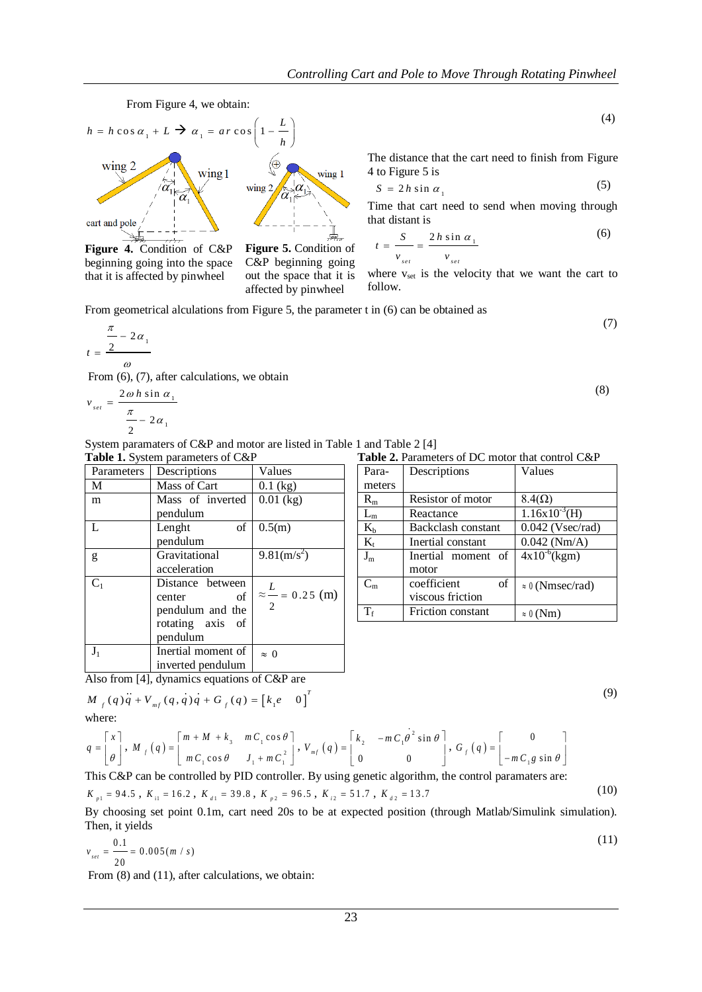

<span id="page-1-0"></span>**Figure 4.** Condition of C&P beginning going into the space that it is affected by pinwheel

<span id="page-1-1"></span>**Figure 5.** Condition of C&P beginning going out the space that it is affected by pinwheel

<span id="page-1-8"></span>(4)

(7)

(8)

(9)

<span id="page-1-7"></span>(10)

The distance that the cart need to finish from [Figure](#page-1-0)  [4](#page-1-0) t[o Figure 5](#page-1-1) is

$$
S = 2h \sin \alpha_1 \tag{5}
$$

Time that cart need to send when moving through that distant is

<span id="page-1-2"></span>
$$
t = \frac{S}{v_{set}} = \frac{2h\sin\alpha_1}{v_{set}}\tag{6}
$$

<span id="page-1-3"></span>where  $v_{\text{set}}$  is the velocity that we want the cart to follow.

From geometrical alculations fro[m Figure 5,](#page-1-1) the parameter t in [\(6\)](#page-1-2) can be obtained as

$$
t = \frac{\frac{\pi}{2} - 2\alpha_1}{\omega}
$$

Fro[m \(6\)](#page-1-2), [\(7\)](#page-1-3), after calculations, we obtain

$$
v_{set} = \frac{2\omega h \sin \alpha_1}{\frac{\pi}{2} - 2\alpha_1}
$$

System paramaters of C&P and motor are listed in [Table 1](#page-1-4) and [Table 2](#page-1-5) [4] Table 1. System parameters of C&P

<span id="page-1-4"></span>

| $\frac{1}{2}$ |                    |                                  |  |
|---------------|--------------------|----------------------------------|--|
| Parameters    | Descriptions       | Values                           |  |
| M             | Mass of Cart       | $0.1$ (kg)                       |  |
| m             | Mass of inverted   | $0.01$ (kg)                      |  |
|               | pendulum           |                                  |  |
| L             | Lenght<br>οf       | 0.5(m)                           |  |
|               | pendulum           |                                  |  |
| g             | Gravitational      | $9.81$ (m/s <sup>2</sup> )       |  |
|               | acceleration       |                                  |  |
| $C_1$         | Distance between   |                                  |  |
|               | of<br>center       | $\approx \frac{L}{2} = 0.25$ (m) |  |
|               | pendulum and the   | $\overline{2}$                   |  |
|               | rotating axis of   |                                  |  |
|               | pendulum           |                                  |  |
| $J_1$         | Inertial moment of | $\approx 0$                      |  |
|               | inverted pendulum  |                                  |  |

<span id="page-1-6"></span><span id="page-1-5"></span>**Table 2.** Parameters of DC motor that control C&P

| Para-       | Descriptions       | Values                  |
|-------------|--------------------|-------------------------|
| meters      |                    |                         |
| $R_{m}$     | Resistor of motor  | $8.4(\Omega)$           |
| $\rm L_m$   | Reactance          | $1.16x10^{-3}$ (H)      |
| $K_b$       | Backclash constant | $0.042$ (Vsec/rad)      |
| $K_{t}$     | Inertial constant  | $0.042$ (Nm/A)          |
| $J_m$       | Inertial moment of | $4x10^{-6}$ (kgm)       |
|             | motor              |                         |
| $C_{\rm m}$ | coefficient<br>of  | $\approx 0$ (Nmsec/rad) |
|             | viscous friction   |                         |
| $T_{\rm f}$ | Friction constant  | $\approx 0$ (Nm)        |

Also from [4], dynamics equations of C&P are\n
$$
M_{f}(q)q + V_{mf}(q,q)q + G_{f}(q) = [k_{1}e \quad 0]^T
$$
\nwhere:

$$
q = \begin{bmatrix} x \\ \theta \end{bmatrix}, M_f(q) = \begin{bmatrix} m + M + k_3 & mC_1 \cos \theta \\ mC_1 \cos \theta & J_1 + mC_1^2 \end{bmatrix}, V_{mf}(q) = \begin{bmatrix} k_2 & -mC_1 \theta^2 \sin \theta \\ 0 & 0 \end{bmatrix}, G_f(q) = \begin{bmatrix} 0 \\ -mC_1 g \sin \theta \end{bmatrix}
$$

This C&P can be controlled by PID controller. By using genetic algorithm, the control paramaters are:

$$
K_{p1} = 94.5
$$
,  $K_{i1} = 16.2$ ,  $K_{d1} = 39.8$ ,  $K_{p2} = 96.5$ ,  $K_{i2} = 51.7$ ,  $K_{d2} = 13.7$ 

By choosing set point 0.1m, cart need 20s to be at expected position (through Matlab/Simulink simulation). Then, it yields  $(11)$ 

$$
v_{\text{set}} = \frac{0.1}{20} = 0.005 \, \text{(m / s)}
$$

From  $(8)$  and  $(11)$ , after calculations, we obtain: